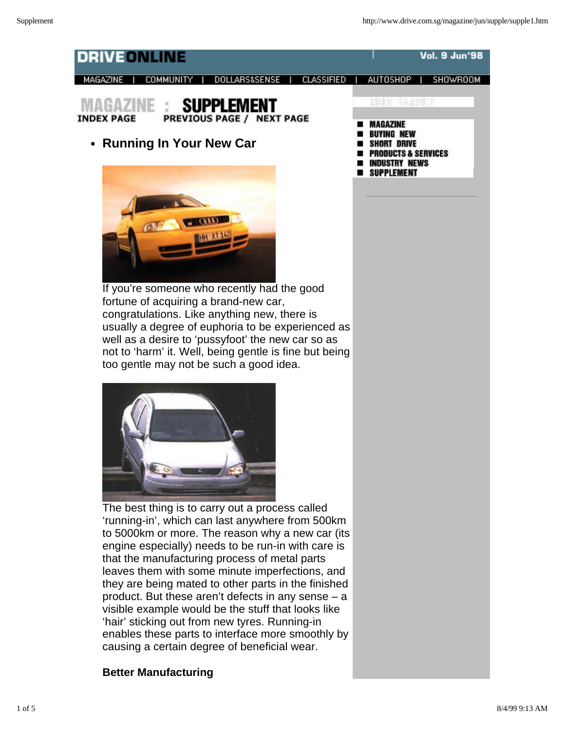

If you're someone who recently had the good fortune of acquiring a brand-new car, congratulations. Like anything new, there is usually a degree of euphoria to be experienced as well as a desire to 'pussyfoot' the new car so as not to 'harm' it. Well, being gentle is fine but being too gentle may not be such a good idea.



The best thing is to carry out a process called 'running-in', which can last anywhere from 500km to 5000km or more. The reason why a new car (its engine especially) needs to be run-in with care is that the manufacturing process of metal parts leaves them with some minute imperfections, and they are being mated to other parts in the finished product. But these aren't defects in any sense – a visible example would be the stuff that looks like 'hair' sticking out from new tyres. Running-in enables these parts to interface more smoothly by causing a certain degree of beneficial wear.

# **Better Manufacturing**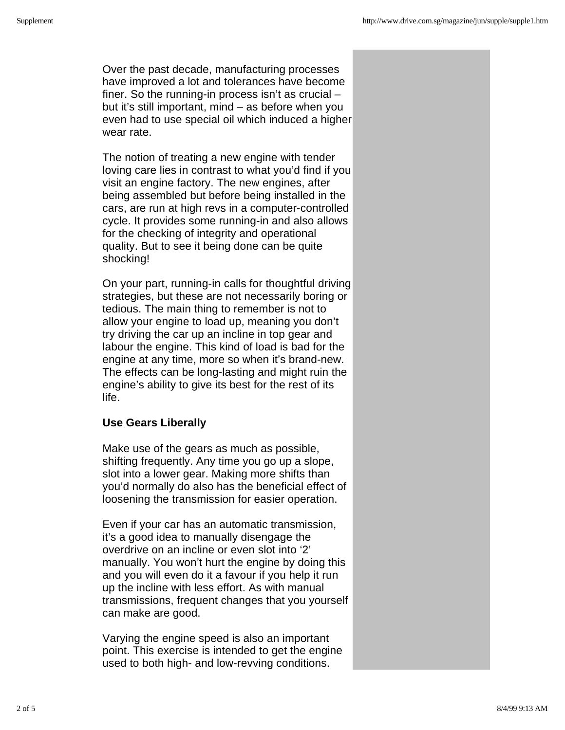Over the past decade, manufacturing processes have improved a lot and tolerances have become finer. So the running-in process isn't as crucial – but it's still important, mind – as before when you even had to use special oil which induced a higher wear rate.

The notion of treating a new engine with tender loving care lies in contrast to what you'd find if you visit an engine factory. The new engines, after being assembled but before being installed in the cars, are run at high revs in a computer-controlled cycle. It provides some running-in and also allows for the checking of integrity and operational quality. But to see it being done can be quite shocking!

On your part, running-in calls for thoughtful driving strategies, but these are not necessarily boring or tedious. The main thing to remember is not to allow your engine to load up, meaning you don't try driving the car up an incline in top gear and labour the engine. This kind of load is bad for the engine at any time, more so when it's brand-new. The effects can be long-lasting and might ruin the engine's ability to give its best for the rest of its life.

#### **Use Gears Liberally**

Make use of the gears as much as possible, shifting frequently. Any time you go up a slope, slot into a lower gear. Making more shifts than you'd normally do also has the beneficial effect of loosening the transmission for easier operation.

Even if your car has an automatic transmission, it's a good idea to manually disengage the overdrive on an incline or even slot into '2' manually. You won't hurt the engine by doing this and you will even do it a favour if you help it run up the incline with less effort. As with manual transmissions, frequent changes that you yourself can make are good.

Varying the engine speed is also an important point. This exercise is intended to get the engine used to both high- and low-revving conditions.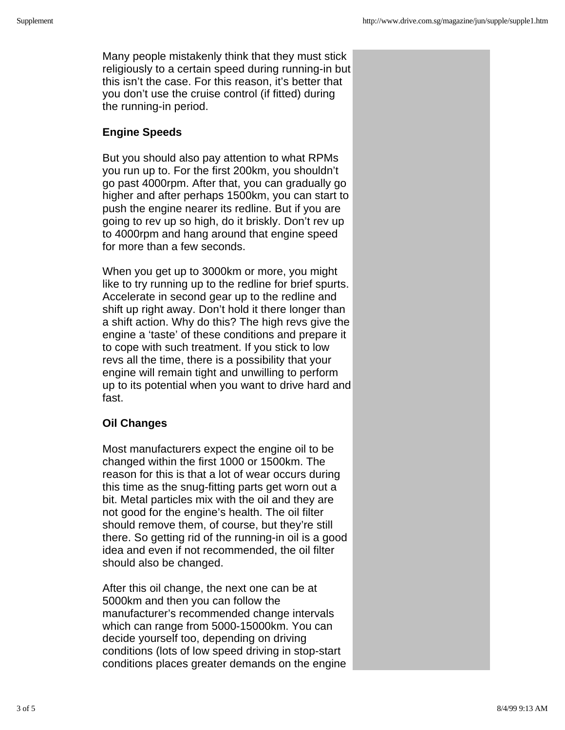Many people mistakenly think that they must stick religiously to a certain speed during running-in but this isn't the case. For this reason, it's better that you don't use the cruise control (if fitted) during the running-in period.

## **Engine Speeds**

But you should also pay attention to what RPMs you run up to. For the first 200km, you shouldn't go past 4000rpm. After that, you can gradually go higher and after perhaps 1500km, you can start to push the engine nearer its redline. But if you are going to rev up so high, do it briskly. Don't rev up to 4000rpm and hang around that engine speed for more than a few seconds.

When you get up to 3000km or more, you might like to try running up to the redline for brief spurts. Accelerate in second gear up to the redline and shift up right away. Don't hold it there longer than a shift action. Why do this? The high revs give the engine a 'taste' of these conditions and prepare it to cope with such treatment. If you stick to low revs all the time, there is a possibility that your engine will remain tight and unwilling to perform up to its potential when you want to drive hard and fast.

# **Oil Changes**

Most manufacturers expect the engine oil to be changed within the first 1000 or 1500km. The reason for this is that a lot of wear occurs during this time as the snug-fitting parts get worn out a bit. Metal particles mix with the oil and they are not good for the engine's health. The oil filter should remove them, of course, but they're still there. So getting rid of the running-in oil is a good idea and even if not recommended, the oil filter should also be changed.

After this oil change, the next one can be at 5000km and then you can follow the manufacturer's recommended change intervals which can range from 5000-15000km. You can decide yourself too, depending on driving conditions (lots of low speed driving in stop-start conditions places greater demands on the engine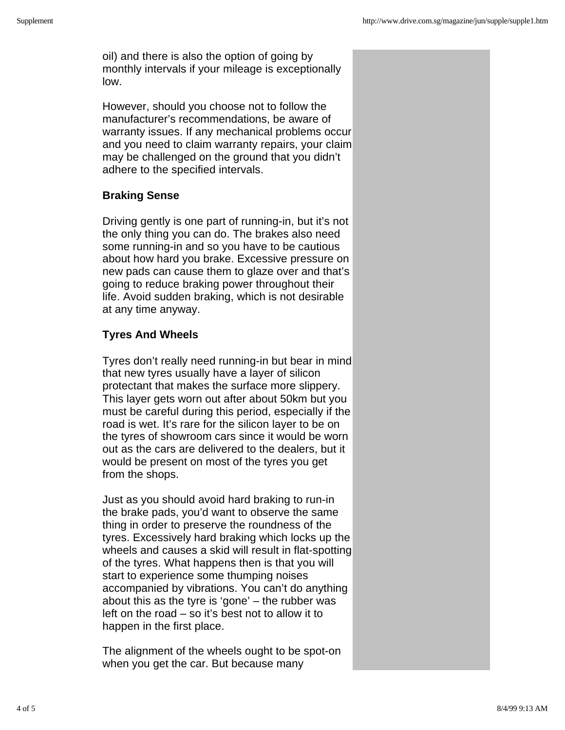oil) and there is also the option of going by monthly intervals if your mileage is exceptionally low.

However, should you choose not to follow the manufacturer's recommendations, be aware of warranty issues. If any mechanical problems occur and you need to claim warranty repairs, your claim may be challenged on the ground that you didn't adhere to the specified intervals.

#### **Braking Sense**

Driving gently is one part of running-in, but it's not the only thing you can do. The brakes also need some running-in and so you have to be cautious about how hard you brake. Excessive pressure on new pads can cause them to glaze over and that's going to reduce braking power throughout their life. Avoid sudden braking, which is not desirable at any time anyway.

## **Tyres And Wheels**

Tyres don't really need running-in but bear in mind that new tyres usually have a layer of silicon protectant that makes the surface more slippery. This layer gets worn out after about 50km but you must be careful during this period, especially if the road is wet. It's rare for the silicon layer to be on the tyres of showroom cars since it would be worn out as the cars are delivered to the dealers, but it would be present on most of the tyres you get from the shops.

Just as you should avoid hard braking to run-in the brake pads, you'd want to observe the same thing in order to preserve the roundness of the tyres. Excessively hard braking which locks up the wheels and causes a skid will result in flat-spotting of the tyres. What happens then is that you will start to experience some thumping noises accompanied by vibrations. You can't do anything about this as the tyre is 'gone' – the rubber was left on the road – so it's best not to allow it to happen in the first place.

The alignment of the wheels ought to be spot-on when you get the car. But because many